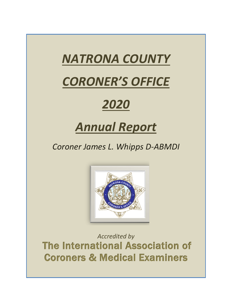# *NATRONA COUNTY*

# *CORONER'S OFFICE*

# *2020*

# *Annual Report*

*Coroner James L. Whipps D-ABMDI*



*Accredited by* The International Association of Coroners & Medical Examiners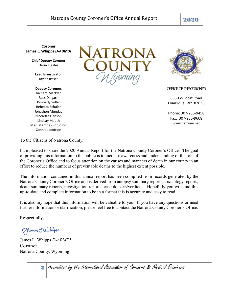**Coroner James L. Whipps** *D-ABMDI*

> **Chief Deputy Coroner** Darin Kiester

**Lead Investigator** Taylor Jessee

#### **Deputy Coroners** Richard Mackler Russ Dalgarn Kimberly Soller Rebecca Schuler Jonathon Munday Nicolette Hanson Lindsay Mauth Mari Manthei-Robinson

Connie Jacobson





OFFICE OF THE CORONER

6550 Wildcat Road Evansville, WY 82636

Phone: 307-235-9458 Fax: 307-235-9608 www.natrona.net

To the Citizens of Natrona County,

I am pleased to share the 2020 Annual Report for the Natrona County Coroner's Office. The goal of providing this information to the public is to increase awareness and understanding of the role of the Coroner's Office and to focus attention on the causes and manners of death in our county in an effort to reduce the numbers of preventable deaths to the highest extent possible.

The information contained in this annual report has been compiled from records generated by the Natrona County Coroner's Office and is derived from autopsy summary reports, toxicology reports, death summary reports, investigation reports, case dockets/verdict. Hopefully you will find this up-to-date and complete information to be in a format this is accurate and easy to read.

It is also my hope that this information will be valuable to you. If you have any questions or need further information or clarification, please feel free to contact the Natrona County Coroner's Office.

Respectfully,

Tames L Whipps

James L. Whipps *D-ABMDI* Coroner Natrona County, Wyoming

**2** Accredited by the International Association of Coroners & Medical Examiners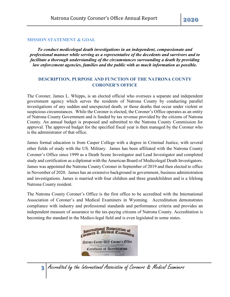#### **MISSION STATEMENT & GOAL**

*To conduct medicolegal death investigations in an independent, compassionate and professional manner while serving as a representative of the decedents and survivors and to facilitate a thorough understanding of the circumstances surrounding a death by providing law enforcement agencies, families and the public with as much information as possible.*

# **DESCRIPTION, PURPOSE AND FUNCTION OF THE NATRONA COUNTY CORONER'S OFFICE**

The Coroner, James L. Whipps, is an elected official who oversees a separate and independent government agency which serves the residents of Natrona County by conducting parallel investigations of any sudden and unexpected death, or those deaths that occur under violent or suspicious circumstances. While the Coroner is elected, the Coroner's Office operates as an entity of Natrona County Government and is funded by tax revenue provided by the citizens of Natrona County. An annual budget is proposed and submitted to the Natrona County Commission for approval. The approved budget for the specified fiscal year is then managed by the Coroner who is the administrator of that office.

James formal education is from Casper College with a degree in Criminal Justice, with several other fields of study with the US. Military. James has been affiliated with the Natrona County Coroner's Office since 1999 as a Death Scene Investigator and Lead Investigator and completed study and certification as a diplomat with the American Board of Medicolegal Death Investigators. James was appointed the Natrona County Coroner in September of 2019 and then elected to office in November of 2020. James has an extensive background in government, business administration and investigations. James is married with four children and three grandchildren and is a lifelong Natrona County resident.

The Natrona County Coroner's Office is the first office to be accredited with the International Association of Coroner's and Medical Examiners in Wyoming. Accreditation demonstrates compliance with industry and professional standards and performance criteria and provides an independent measure of assurance to the tax-paying citizens of Natrona County. Accreditation is becoming the standard in the Medico-legal field and is even legislated in some states.



**3** Accredited by the International Association of Coroners & Medical Examiners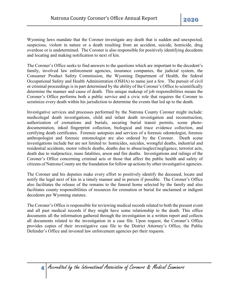Wyoming laws mandate that the Coroner investigate any death that is sudden and unexpected, suspicious, violent in nature or a death resulting from an accident, suicide, homicide, drug overdose or is undetermined. The Coroner is also responsible for positively identifying decedents and locating and making notification to next of kin.

The Coroner's Office seeks to find answers to the questions which are important to the decedent's family, involved law enforcement agencies, insurance companies, the judicial system, the Consumer Product Safety Commission, the Wyoming Department of Health, the federal Occupational Safety and Health Administration (OSHA) to name just a few. The pursuit of civil or criminal proceedings is in part determined by the ability of the Coroner's Office to scientifically determine the manner and cause of death. This unique makeup of job responsibilities means the Coroner's Office performs both a public service and a civic role that requires the Coroner to scrutinize every death within his jurisdiction to determine the events that led up to the death.

Investigative services and processes performed by the Natrona County Coroner might include: medicolegal death investigations, child and infant death investigation and reconstruction, authorization of cremations and burials, securing burial transit permits, scene photodocumentation, inked fingerprint collection, biological and trace evidence collection, and certifying death certificates. Forensic autopsies and services of a forensic odontologist, forensic anthropologist and forensic entomologist are also ordered by the Coroner. Death scene investigations include but are not limited to: homicides, suicides, wrongful deaths, industrial and residential accidents, motor vehicle deaths, deaths due to abuse/neglect/negligence, terrorist acts, death due to malpractice, mass fatalities, arson and fire deaths. Investigations and rulings of the Coroner's Office concerning criminal acts or those that affect the public health and safety of citizens of Natrona County are the foundation for follow up actions by other investigative agencies.

The Coroner and his deputies make every effort to positively identify the deceased, locate and notify the legal next of kin in a timely manner and in person if possible. The Coroner's Office also facilitates the release of the remains to the funeral home selected by the family and also facilitates county responsibilities of resources for cremation or burial for unclaimed or indigent decedents per Wyoming statutes.

The Coroner's Office is responsible for reviewing medical records related to both the present event and all past medical records if they might have some relationship to the death. This office documents all the information gathered through the investigation in a written report and collects all documents related to the investigation in a case file. Upon request, the Coroner's Office provides copies of their investigative case file to the District Attorney's Office, the Public Defender's Office and invested law enforcement agencies per their requests.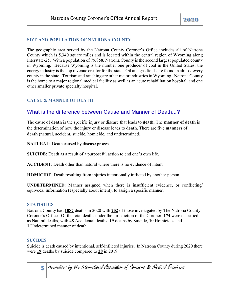## **SIZE AND POPULATION OF NATRONA COUNTY**

The geographic area served by the Natrona County Coroner's Office includes all of Natrona County which is 5,340 square miles and is located within the central region of Wyoming along Interstate-25. With a population of 79,858, Natrona County is the second largest populated county in Wyoming. Because Wyoming is the number one producer of coal in the United States, the energy industry is the top revenue creator for the state. Oil and gas fields are found in almost every county in the state. Tourism and ranching are other major industries in Wyoming. Natrona County is the home to a major regional medical facility as well as an acute rehabilitation hospital, and one other smaller private specialty hospital.

# **CAUSE & MANNER OF DEATH**

# [What is the difference between Cause and Manner of Death](https://www.washoecounty.us/coroner/faq/difference_cause_and_manner_of_death.php)**...?**

The cause of **death** is the specific injury or disease that leads to **death**. The **manner of death** is the determination of how the injury or disease leads to **death**. There are five **manners of death** (natural, accident, suicide, homicide, and undetermined).

**NATURAL:** Death caused by disease process.

**SUICIDE:** Death as a result of a purposeful action to end one's own life.

**ACCIDENT**: Death other than natural where there is no evidence of intent.

**HOMICIDE**: Death resulting from injuries intentionally inflicted by another person.

**UNDETERMINED**: Manner assigned when there is insufficient evidence, or conflicting/ equivocal information (especially about intent), to assign a specific manner.

#### **STATISTICS**

Natrona County had **1087** deaths in 2020 with **252** of those investigated by The Natrona County Coroner's Office. Of the total deaths under the jurisdiction of the Coroner, **174** were classified as Natural deaths, with **48** Accidental deaths, **19** deaths by Suicide, **10** Homicides and **1** Undetermined manner of death.

# **SUCIDES**

Suicide is death caused by intentional, self-inflicted injuries. In Natrona County during 2020 there were **19** deaths by suicide compared to **28** in 2019.

**5** Accredited by the International Association of Coroners & Medical Examiners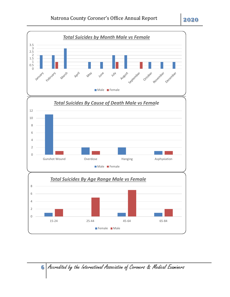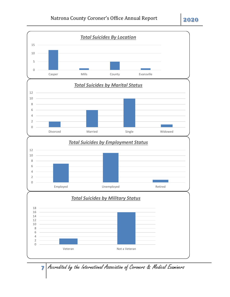

Accredited by the International Association of Coroners & Medical Examiners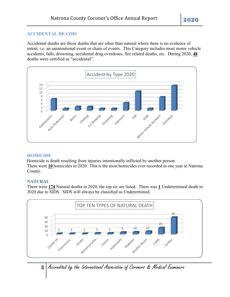# **ACCIDENTAL DEATHS**

Accidental deaths are those deaths that are other than natural where there is no evidence of intent; i.e. an unintentional event or chain of events. This Category includes most motor vehicle accidents, falls, drowning, accidental drug overdoses, fire related deaths, etc. During 2020, **48** deaths were certified as "accidental".



#### **HOMICIDE**

Homicide is death resulting from injuries intentionally inflicted by another person. There were **10** homicides in 2020. This is the most homicides ever recorded in one year in Natrona County.

# **NATURAL**

There were **174** Natural deaths in 2020, the top six are listed. There was **1** Undetermined death in 2020 due to SIDS. SIDS will always be classified as Undetermined.



8 Accredited by the International Association of Coroners & Medical Examiners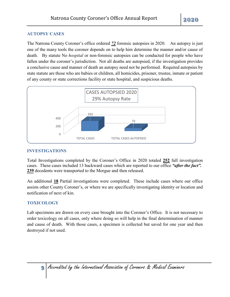# **AUTOPSY CASES**

The Natrona County Coroner's office ordered *72* forensic autopsies in 2020. An autopsy is just one of the many tools the coroner depends on to help him determine the manner and/or cause of death. By statute No *hospital* or non-forensic autopsies can be conducted for people who have fallen under the coroner's jurisdiction. Not all deaths are autopsied, if the investigation provides a conclusive cause and manner of death an autopsy need not be performed. Required autopsies by state statute are those who are babies or children, all homicides, prisoner, trustee, inmate or patient of any county or state corrections facility or state hospital, and suspicious deaths.



# **INVESTIGATIONS**

Total Investigations completed by the Coroner's Office in 2020 totaled **252** full investigation cases. These cases included 13 backward cases which are reported to our office *"after the fact".* **239** decedents were transported to the Morgue and then released.

An additional **18** Partial investigations were completed. These include cases where our office assists other County Coroner's, or where we are specifically investigating identity or location and notification of next of kin.

# **TOXICOLOGY**

Lab specimens are drawn on every case brought into the Coroner's Office. It is not necessary to order toxicology on all cases, only where doing so will help in the final determination of manner and cause of death. With those cases, a specimen is collected but saved for one year and then destroyed if not used.

**9** Accredited by the International Association of Coroners & Medical Examiners